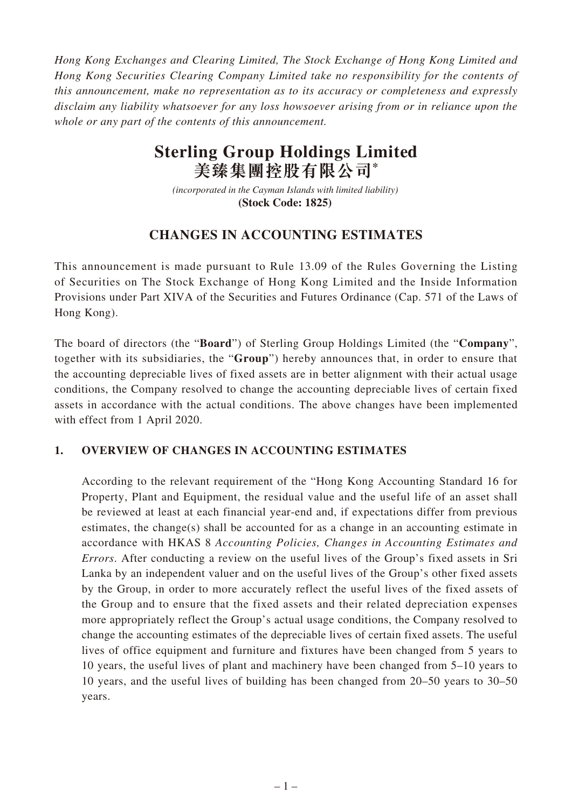*Hong Kong Exchanges and Clearing Limited, The Stock Exchange of Hong Kong Limited and Hong Kong Securities Clearing Company Limited take no responsibility for the contents of this announcement, make no representation as to its accuracy or completeness and expressly disclaim any liability whatsoever for any loss howsoever arising from or in reliance upon the whole or any part of the contents of this announcement.*

# **Sterling Group Holdings Limited 美臻集團控股有限公司\***

*(incorporated in the Cayman Islands with limited liability)*  **(Stock Code: 1825)** 

## **CHANGES IN ACCOUNTING ESTIMATES**

This announcement is made pursuant to Rule 13.09 of the Rules Governing the Listing of Securities on The Stock Exchange of Hong Kong Limited and the Inside Information Provisions under Part XIVA of the Securities and Futures Ordinance (Cap. 571 of the Laws of Hong Kong).

The board of directors (the "**Board**") of Sterling Group Holdings Limited (the "**Company**", together with its subsidiaries, the "**Group**") hereby announces that, in order to ensure that the accounting depreciable lives of fixed assets are in better alignment with their actual usage conditions, the Company resolved to change the accounting depreciable lives of certain fixed assets in accordance with the actual conditions. The above changes have been implemented with effect from 1 April 2020.

#### **1. OVERVIEW OF CHANGES IN ACCOUNTING ESTIMATES**

According to the relevant requirement of the "Hong Kong Accounting Standard 16 for Property, Plant and Equipment, the residual value and the useful life of an asset shall be reviewed at least at each financial year-end and, if expectations differ from previous estimates, the change(s) shall be accounted for as a change in an accounting estimate in accordance with HKAS 8 *Accounting Policies, Changes in Accounting Estimates and Errors*. After conducting a review on the useful lives of the Group's fixed assets in Sri Lanka by an independent valuer and on the useful lives of the Group's other fixed assets by the Group, in order to more accurately reflect the useful lives of the fixed assets of the Group and to ensure that the fixed assets and their related depreciation expenses more appropriately reflect the Group's actual usage conditions, the Company resolved to change the accounting estimates of the depreciable lives of certain fixed assets. The useful lives of office equipment and furniture and fixtures have been changed from 5 years to 10 years, the useful lives of plant and machinery have been changed from 5–10 years to 10 years, and the useful lives of building has been changed from 20–50 years to 30–50 years.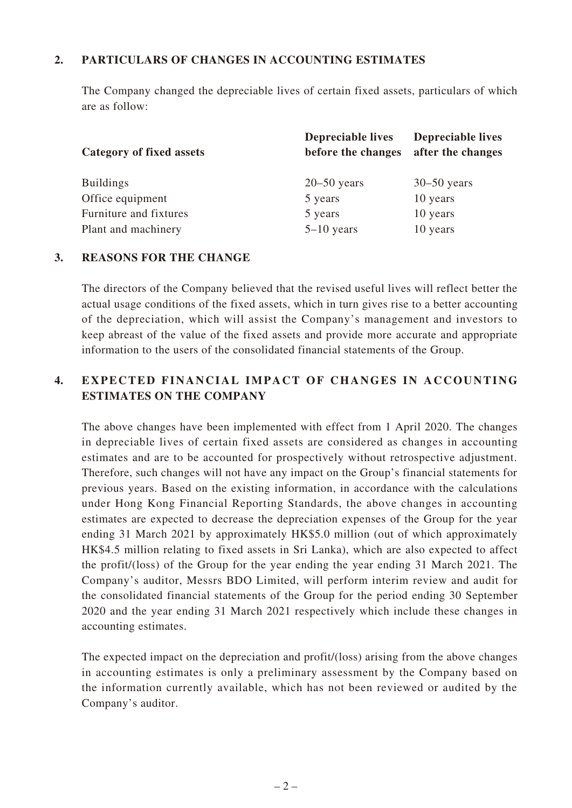#### **2. PARTICULARS OF CHANGES IN ACCOUNTING ESTIMATES**

The Company changed the depreciable lives of certain fixed assets, particulars of which are as follow:

| <b>Category of fixed assets</b> | <b>Depreciable lives</b><br>before the changes | <b>Depreciable lives</b><br>after the changes |
|---------------------------------|------------------------------------------------|-----------------------------------------------|
| <b>Buildings</b>                | $20 - 50$ years                                | $30 - 50$ years                               |
| Office equipment                | 5 years                                        | 10 years                                      |
| Furniture and fixtures          | 5 years                                        | 10 years                                      |
| Plant and machinery             | $5-10$ years                                   | 10 years                                      |

#### **3. REASONS FOR THE CHANGE**

The directors of the Company believed that the revised useful lives will reflect better the actual usage conditions of the fixed assets, which in turn gives rise to a better accounting of the depreciation, which will assist the Company's management and investors to keep abreast of the value of the fixed assets and provide more accurate and appropriate information to the users of the consolidated financial statements of the Group.

### **4. EXPECTED FINANCIAL IMPACT OF CHANGES IN ACCOUNTING ESTIMATES ON THE COMPANY**

The above changes have been implemented with effect from 1 April 2020. The changes in depreciable lives of certain fixed assets are considered as changes in accounting estimates and are to be accounted for prospectively without retrospective adjustment. Therefore, such changes will not have any impact on the Group's financial statements for previous years. Based on the existing information, in accordance with the calculations under Hong Kong Financial Reporting Standards, the above changes in accounting estimates are expected to decrease the depreciation expenses of the Group for the year ending 31 March 2021 by approximately HK\$5.0 million (out of which approximately HK\$4.5 million relating to fixed assets in Sri Lanka), which are also expected to affect the profit/(loss) of the Group for the year ending the year ending 31 March 2021. The Company's auditor, Messrs BDO Limited, will perform interim review and audit for the consolidated financial statements of the Group for the period ending 30 September 2020 and the year ending 31 March 2021 respectively which include these changes in accounting estimates.

The expected impact on the depreciation and profit/(loss) arising from the above changes in accounting estimates is only a preliminary assessment by the Company based on the information currently available, which has not been reviewed or audited by the Company's auditor.